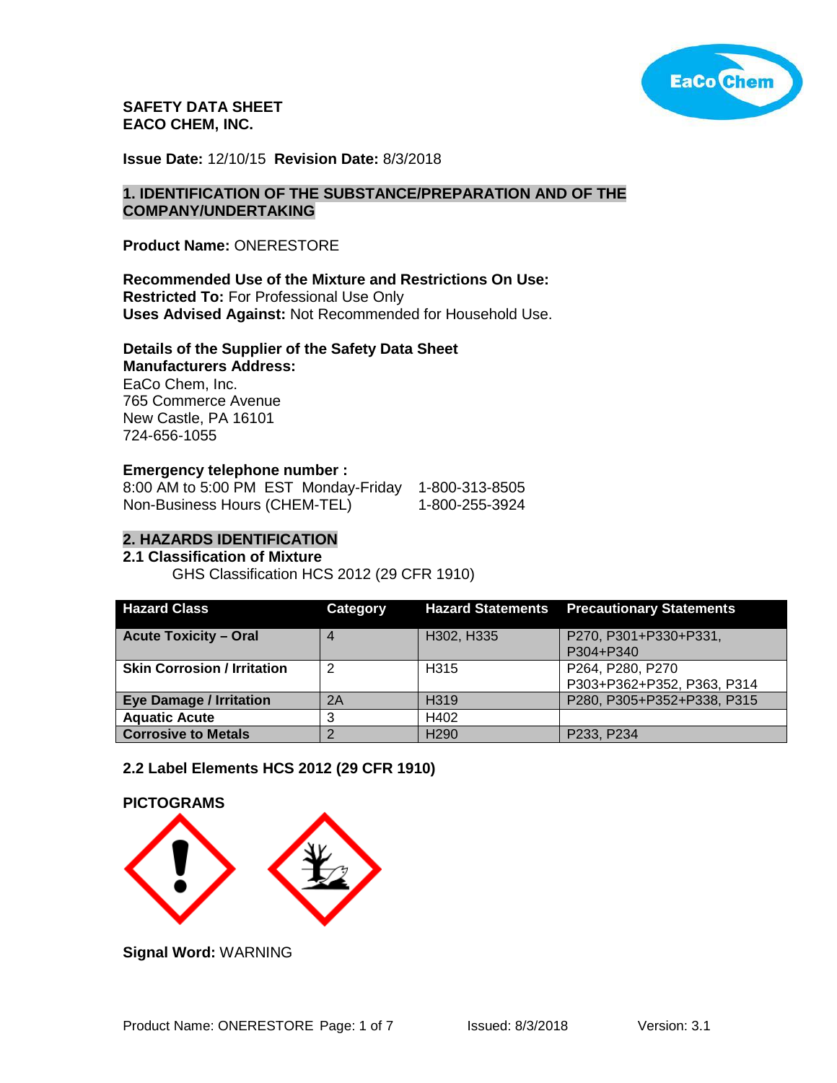

**SAFETY DATA SHEET EACO CHEM, INC.** 

**Issue Date:** 12/10/15 **Revision Date:** 8/3/2018

#### **1. IDENTIFICATION OF THE SUBSTANCE/PREPARATION AND OF THE COMPANY/UNDERTAKING**

**Product Name:** ONERESTORE

## **Recommended Use of the Mixture and Restrictions On Use:**

**Restricted To:** For Professional Use Only **Uses Advised Against:** Not Recommended for Household Use.

#### **Details of the Supplier of the Safety Data Sheet Manufacturers Address:**

EaCo Chem, Inc. 765 Commerce Avenue New Castle, PA 16101 724-656-1055

## **Emergency telephone number :**

| 8:00 AM to 5:00 PM EST Monday-Friday | 1-800-313-8505 |
|--------------------------------------|----------------|
| Non-Business Hours (CHEM-TEL)        | 1-800-255-3924 |

## **2. HAZARDS IDENTIFICATION**

## **2.1 Classification of Mixture**

GHS Classification HCS 2012 (29 CFR 1910)

| <b>Hazard Class</b>                | Category |                   | <b>Hazard Statements Precautionary Statements</b> |
|------------------------------------|----------|-------------------|---------------------------------------------------|
| <b>Acute Toxicity - Oral</b>       | 4        | H302, H335        | P270, P301+P330+P331,<br>P304+P340                |
| <b>Skin Corrosion / Irritation</b> |          | H <sub>3</sub> 15 | P264, P280, P270<br>P303+P362+P352, P363, P314    |
| <b>Eye Damage / Irritation</b>     | 2A       | H <sub>319</sub>  | P280, P305+P352+P338, P315                        |
| <b>Aquatic Acute</b>               |          | H402              |                                                   |
| <b>Corrosive to Metals</b>         |          | H <sub>290</sub>  | P233, P234                                        |

#### **2.2 Label Elements HCS 2012 (29 CFR 1910)**



**Signal Word:** WARNING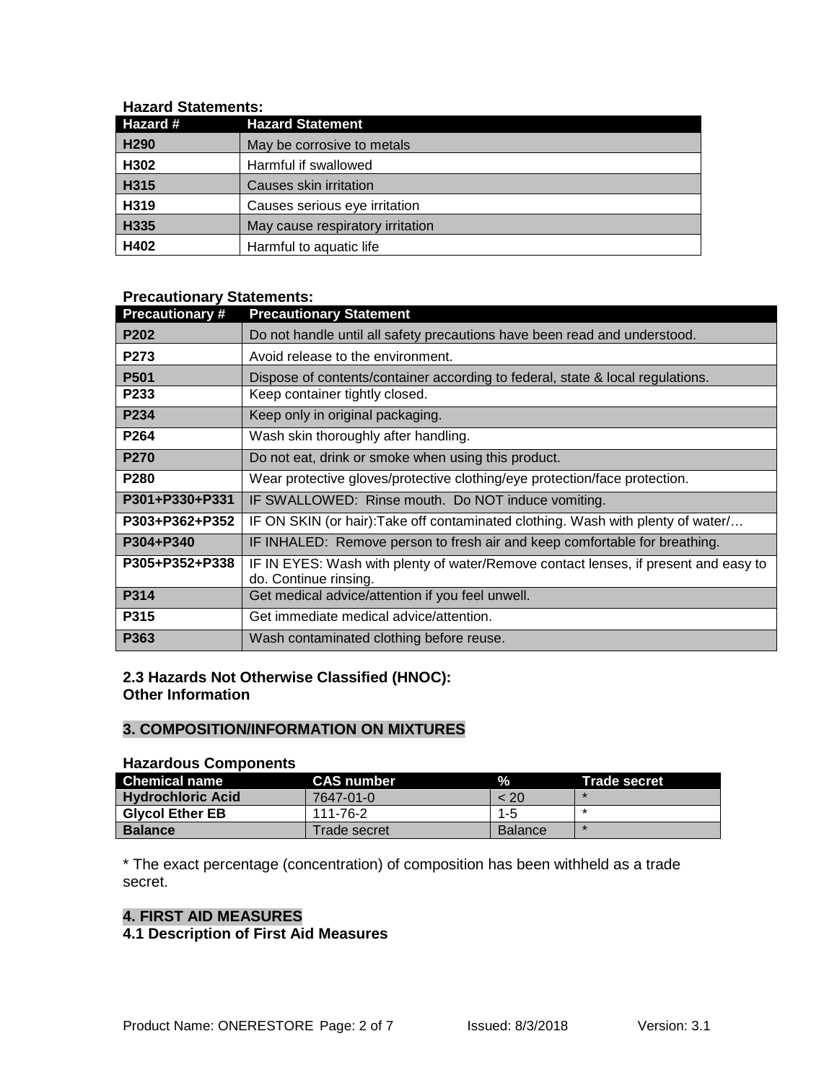## **Hazard Statements:**

| Hazard #         | <b>Hazard Statement</b>          |
|------------------|----------------------------------|
| H <sub>290</sub> | May be corrosive to metals       |
| H302             | Harmful if swallowed             |
| H315             | Causes skin irritation           |
| H319             | Causes serious eye irritation    |
| H335             | May cause respiratory irritation |
| H402             | Harmful to aquatic life          |

# **Precautionary Statements:**

| <b>Precautionary#</b> | <b>Precautionary Statement</b>                                                                               |
|-----------------------|--------------------------------------------------------------------------------------------------------------|
| <b>P202</b>           | Do not handle until all safety precautions have been read and understood.                                    |
| P273                  | Avoid release to the environment.                                                                            |
| P <sub>501</sub>      | Dispose of contents/container according to federal, state & local regulations.                               |
| P233                  | Keep container tightly closed.                                                                               |
| P234                  | Keep only in original packaging.                                                                             |
| P <sub>264</sub>      | Wash skin thoroughly after handling.                                                                         |
| P270                  | Do not eat, drink or smoke when using this product.                                                          |
| P280                  | Wear protective gloves/protective clothing/eye protection/face protection.                                   |
| P301+P330+P331        | IF SWALLOWED: Rinse mouth. Do NOT induce vomiting.                                                           |
| P303+P362+P352        | IF ON SKIN (or hair): Take off contaminated clothing. Wash with plenty of water/                             |
| P304+P340             | IF INHALED: Remove person to fresh air and keep comfortable for breathing.                                   |
| P305+P352+P338        | IF IN EYES: Wash with plenty of water/Remove contact lenses, if present and easy to<br>do. Continue rinsing. |
| P314                  | Get medical advice/attention if you feel unwell.                                                             |
| P315                  | Get immediate medical advice/attention.                                                                      |
| P363                  | Wash contaminated clothing before reuse.                                                                     |

# **2.3 Hazards Not Otherwise Classified (HNOC): Other Information**

# **3. COMPOSITION/INFORMATION ON MIXTURES**

#### **Hazardous Components**

| <b>Chemical name</b>     | <b>CAS</b> number | $\mathcal{A}$  | <b>Trade secret</b> |
|--------------------------|-------------------|----------------|---------------------|
| <b>Hydrochloric Acid</b> | 7647-01-0         | < 20           |                     |
| <b>Givcol Ether EB</b>   | 111-76-2          | $1 - 5$        |                     |
| <b>Balance</b>           | Trade secret      | <b>Balance</b> |                     |

\* The exact percentage (concentration) of composition has been withheld as a trade secret.

# **4. FIRST AID MEASURES**

# **4.1 Description of First Aid Measures**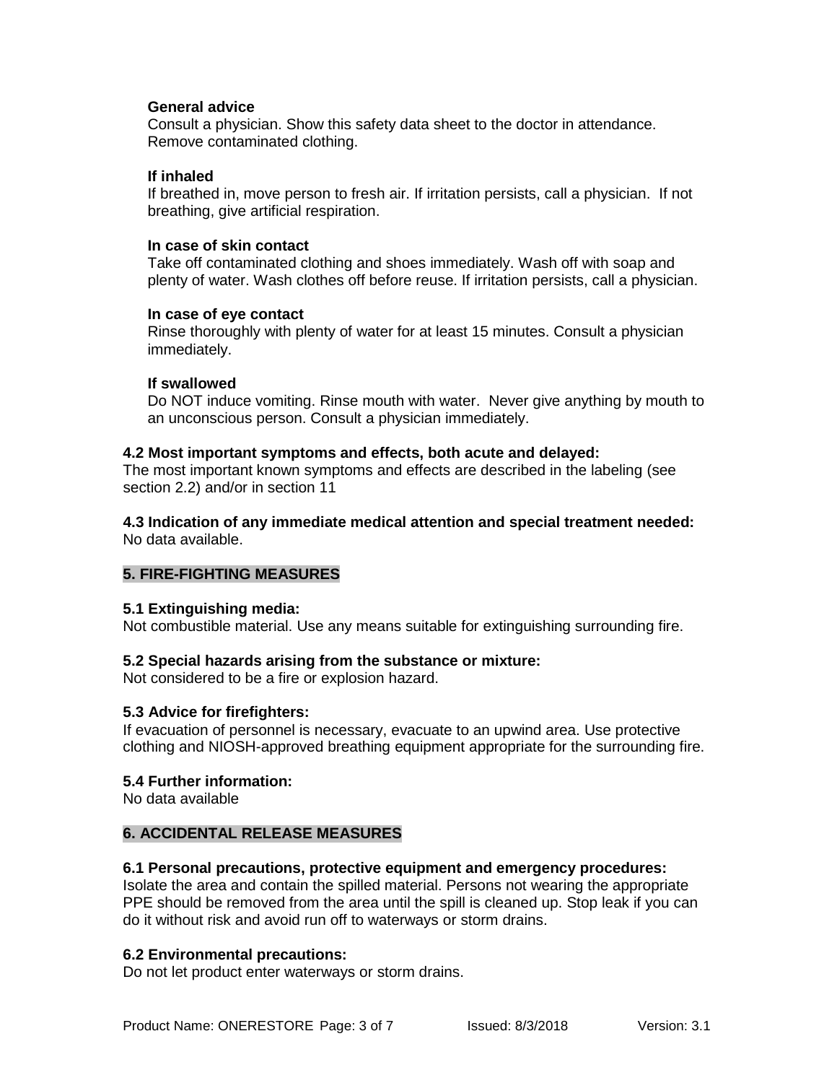## **General advice**

Consult a physician. Show this safety data sheet to the doctor in attendance. Remove contaminated clothing.

#### **If inhaled**

If breathed in, move person to fresh air. If irritation persists, call a physician. If not breathing, give artificial respiration.

## **In case of skin contact**

Take off contaminated clothing and shoes immediately. Wash off with soap and plenty of water. Wash clothes off before reuse. If irritation persists, call a physician.

## **In case of eye contact**

Rinse thoroughly with plenty of water for at least 15 minutes. Consult a physician immediately.

## **If swallowed**

Do NOT induce vomiting. Rinse mouth with water. Never give anything by mouth to an unconscious person. Consult a physician immediately.

## **4.2 Most important symptoms and effects, both acute and delayed:**

The most important known symptoms and effects are described in the labeling (see section 2.2) and/or in section 11

**4.3 Indication of any immediate medical attention and special treatment needed:** No data available.

# **5. FIRE-FIGHTING MEASURES**

#### **5.1 Extinguishing media:**

Not combustible material. Use any means suitable for extinguishing surrounding fire.

# **5.2 Special hazards arising from the substance or mixture:**

Not considered to be a fire or explosion hazard.

#### **5.3 Advice for firefighters:**

If evacuation of personnel is necessary, evacuate to an upwind area. Use protective clothing and NIOSH-approved breathing equipment appropriate for the surrounding fire.

#### **5.4 Further information:**

No data available

#### **6. ACCIDENTAL RELEASE MEASURES**

#### **6.1 Personal precautions, protective equipment and emergency procedures:**

Isolate the area and contain the spilled material. Persons not wearing the appropriate PPE should be removed from the area until the spill is cleaned up. Stop leak if you can do it without risk and avoid run off to waterways or storm drains.

#### **6.2 Environmental precautions:**

Do not let product enter waterways or storm drains.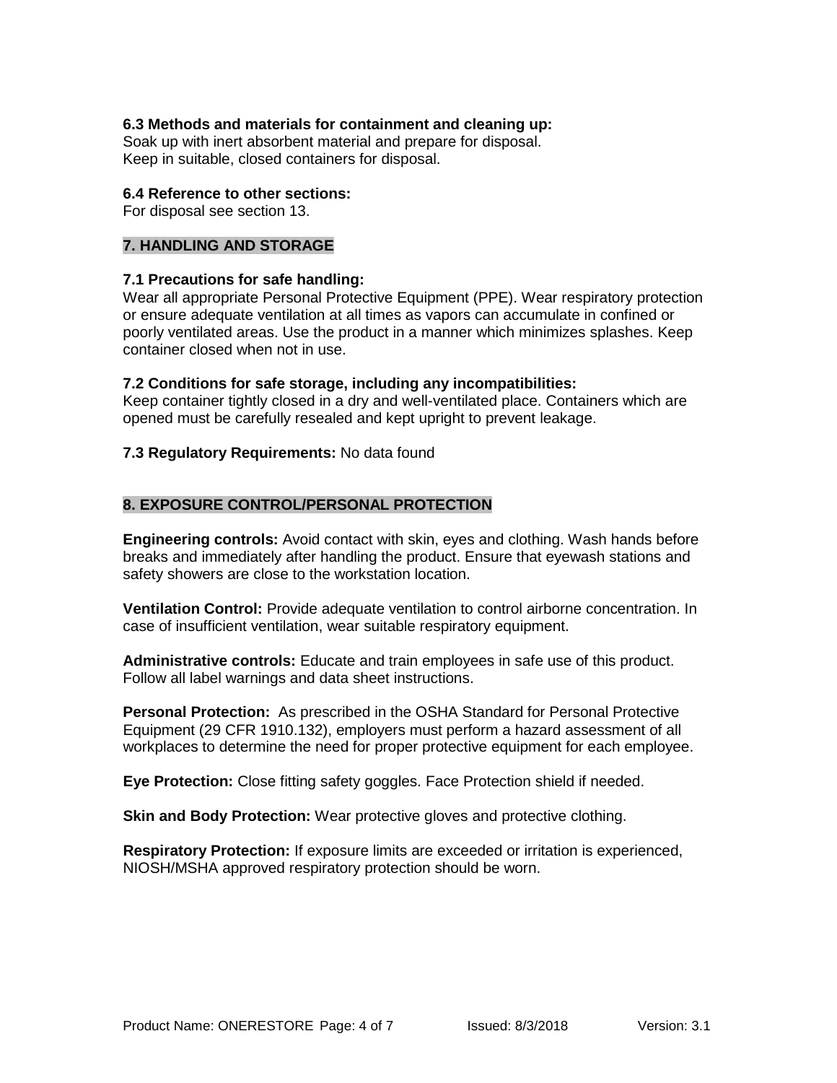## **6.3 Methods and materials for containment and cleaning up:**

Soak up with inert absorbent material and prepare for disposal. Keep in suitable, closed containers for disposal.

#### **6.4 Reference to other sections:**

For disposal see section 13.

## **7. HANDLING AND STORAGE**

#### **7.1 Precautions for safe handling:**

Wear all appropriate Personal Protective Equipment (PPE). Wear respiratory protection or ensure adequate ventilation at all times as vapors can accumulate in confined or poorly ventilated areas. Use the product in a manner which minimizes splashes. Keep container closed when not in use.

#### **7.2 Conditions for safe storage, including any incompatibilities:**

Keep container tightly closed in a dry and well-ventilated place. Containers which are opened must be carefully resealed and kept upright to prevent leakage.

## **7.3 Regulatory Requirements:** No data found

# **8. EXPOSURE CONTROL/PERSONAL PROTECTION**

**Engineering controls:** Avoid contact with skin, eyes and clothing. Wash hands before breaks and immediately after handling the product. Ensure that eyewash stations and safety showers are close to the workstation location.

**Ventilation Control:** Provide adequate ventilation to control airborne concentration. In case of insufficient ventilation, wear suitable respiratory equipment.

**Administrative controls:** Educate and train employees in safe use of this product. Follow all label warnings and data sheet instructions.

**Personal Protection:** As prescribed in the OSHA Standard for Personal Protective Equipment (29 CFR 1910.132), employers must perform a hazard assessment of all workplaces to determine the need for proper protective equipment for each employee.

**Eye Protection:** Close fitting safety goggles. Face Protection shield if needed.

**Skin and Body Protection:** Wear protective gloves and protective clothing.

**Respiratory Protection:** If exposure limits are exceeded or irritation is experienced, NIOSH/MSHA approved respiratory protection should be worn.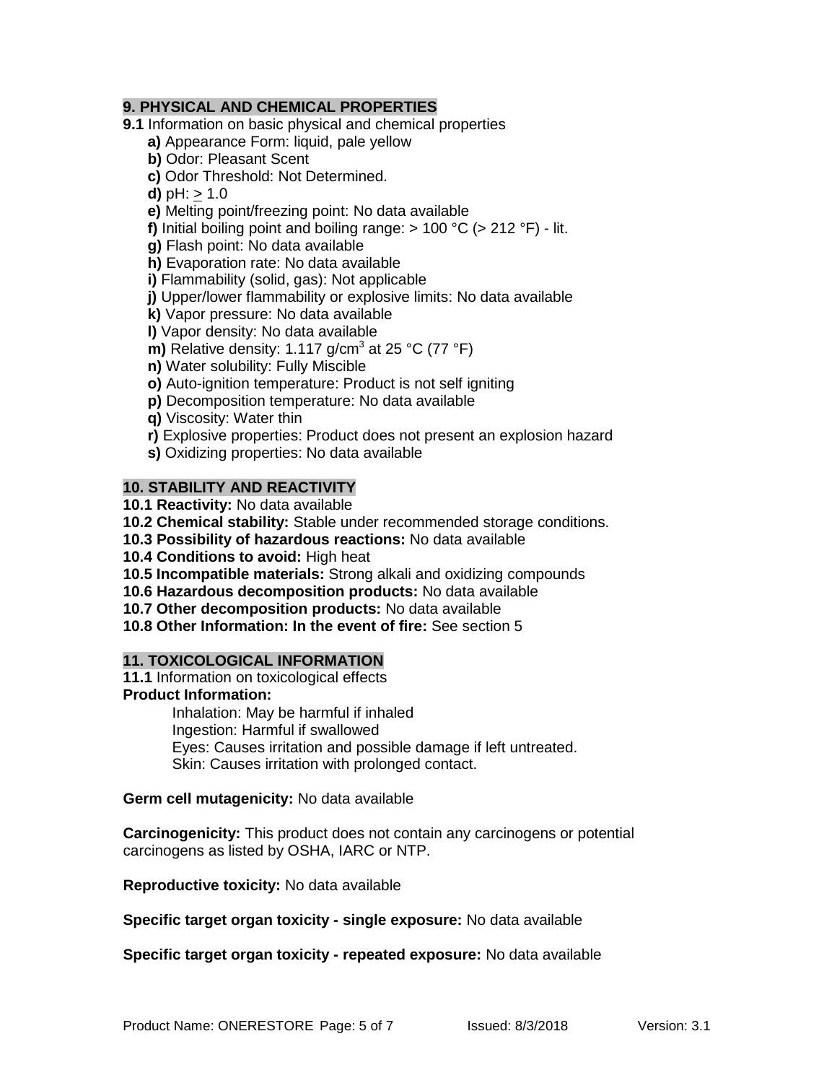# **9. PHYSICAL AND CHEMICAL PROPERTIES**

**9.1** Information on basic physical and chemical properties

**a)** Appearance Form: liquid, pale yellow

- **b)** Odor: Pleasant Scent
- **c)** Odor Threshold: Not Determined.

**d)**  $pH: > 1.0$ 

**e)** Melting point/freezing point: No data available

**f)** Initial boiling point and boiling range:  $> 100 \degree C$  ( $> 212 \degree F$ ) - lit.

**g)** Flash point: No data available

**h)** Evaporation rate: No data available

**i)** Flammability (solid, gas): Not applicable

**j)** Upper/lower flammability or explosive limits: No data available

**k)** Vapor pressure: No data available

**l)** Vapor density: No data available

**m)** Relative density: 1.117  $q/cm^3$  at 25 °C (77 °F)

**n)** Water solubility: Fully Miscible

- **o)** Auto-ignition temperature: Product is not self igniting
- **p)** Decomposition temperature: No data available
- **q)** Viscosity: Water thin
- **r)** Explosive properties: Product does not present an explosion hazard
- **s)** Oxidizing properties: No data available

# **10. STABILITY AND REACTIVITY**

- **10.1 Reactivity:** No data available
- **10.2 Chemical stability:** Stable under recommended storage conditions.
- **10.3 Possibility of hazardous reactions:** No data available
- **10.4 Conditions to avoid:** High heat
- **10.5 Incompatible materials:** Strong alkali and oxidizing compounds
- **10.6 Hazardous decomposition products:** No data available
- **10.7 Other decomposition products:** No data available

**10.8 Other Information: In the event of fire:** See section 5

# **11. TOXICOLOGICAL INFORMATION**

**11.1** Information on toxicological effects

**Product Information:**

Inhalation: May be harmful if inhaled Ingestion: Harmful if swallowed Eyes: Causes irritation and possible damage if left untreated. Skin: Causes irritation with prolonged contact.

## **Germ cell mutagenicity:** No data available

**Carcinogenicity:** This product does not contain any carcinogens or potential carcinogens as listed by OSHA, IARC or NTP.

**Reproductive toxicity:** No data available

**Specific target organ toxicity - single exposure:** No data available

**Specific target organ toxicity - repeated exposure:** No data available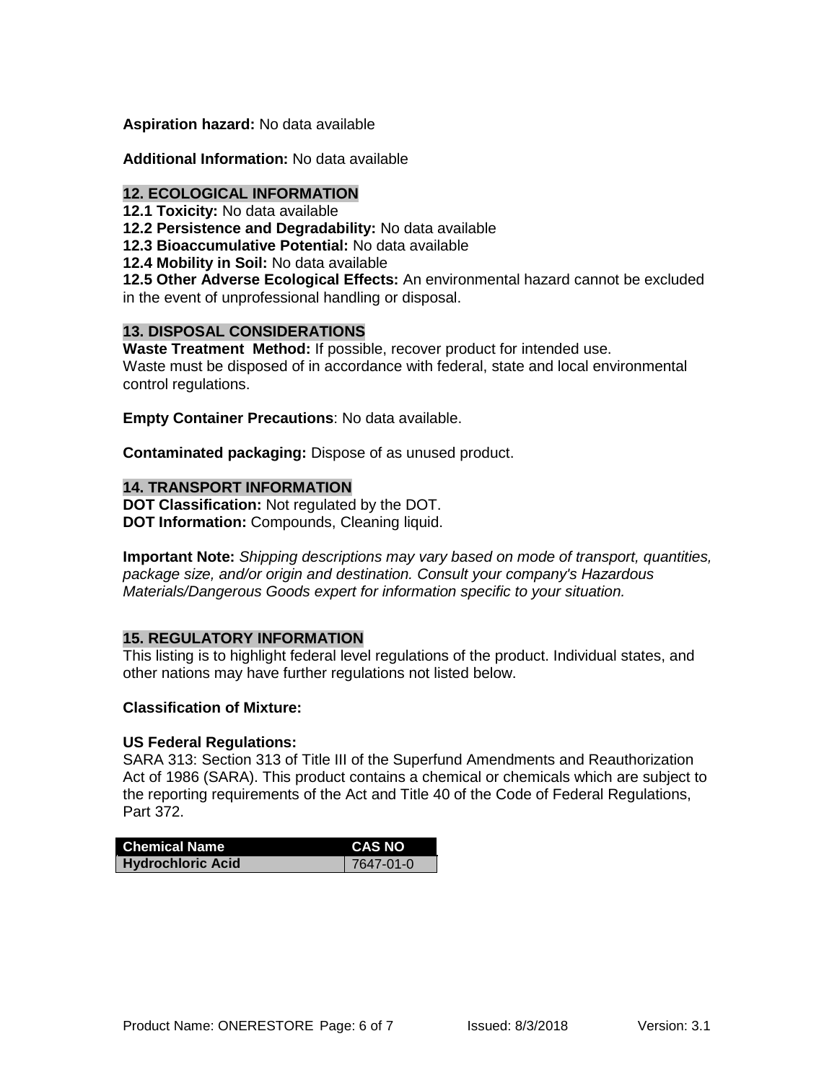## **Aspiration hazard:** No data available

## **Additional Information:** No data available

#### **12. ECOLOGICAL INFORMATION**

**12.1 Toxicity:** No data available

**12.2 Persistence and Degradability:** No data available

**12.3 Bioaccumulative Potential:** No data available

**12.4 Mobility in Soil:** No data available

**12.5 Other Adverse Ecological Effects:** An environmental hazard cannot be excluded in the event of unprofessional handling or disposal.

# **13. DISPOSAL CONSIDERATIONS**

**Waste Treatment Method:** If possible, recover product for intended use. Waste must be disposed of in accordance with federal, state and local environmental control regulations.

**Empty Container Precautions**: No data available.

**Contaminated packaging:** Dispose of as unused product.

## **14. TRANSPORT INFORMATION**

**DOT Classification:** Not regulated by the DOT. **DOT Information:** Compounds, Cleaning liquid.

**Important Note:** *Shipping descriptions may vary based on mode of transport, quantities, package size, and/or origin and destination. Consult your company's Hazardous Materials/Dangerous Goods expert for information specific to your situation.*

# **15. REGULATORY INFORMATION**

This listing is to highlight federal level regulations of the product. Individual states, and other nations may have further regulations not listed below.

#### **Classification of Mixture:**

#### **US Federal Regulations:**

SARA 313: Section 313 of Title III of the Superfund Amendments and Reauthorization Act of 1986 (SARA). This product contains a chemical or chemicals which are subject to the reporting requirements of the Act and Title 40 of the Code of Federal Regulations, Part 372.

| <b>Chemical Name</b>     | <b>CAS NO</b>   |
|--------------------------|-----------------|
| <b>Hydrochloric Acid</b> | $7647 - 01 - 0$ |
|                          |                 |